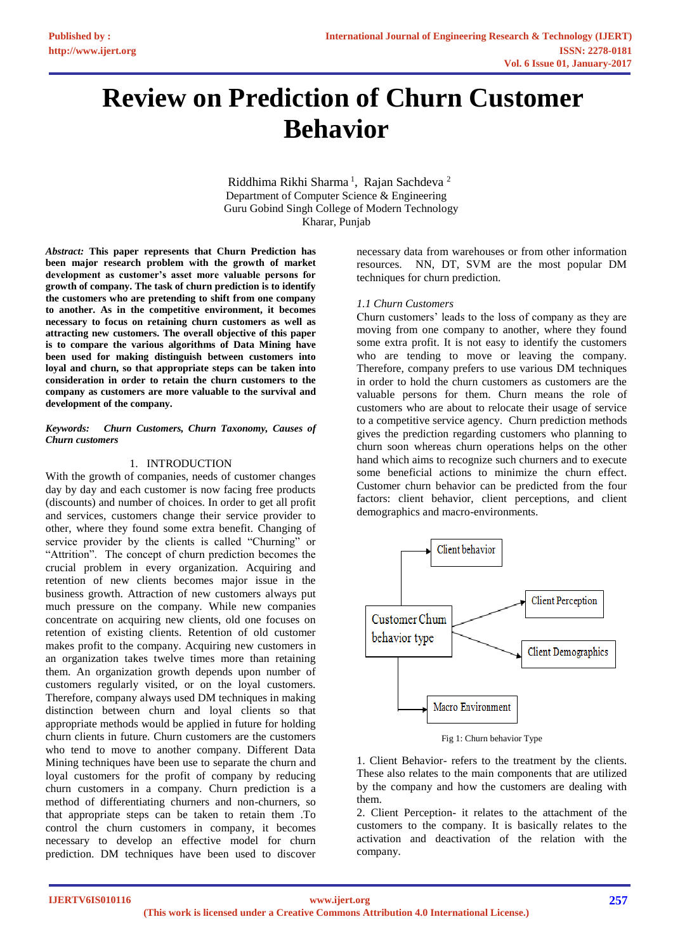# **Review on Prediction of Churn Customer Behavior**

Riddhima Rikhi Sharma<sup>1</sup>, Rajan Sachdeva<sup>2</sup> Department of Computer Science & Engineering Guru Gobind Singh College of Modern Technology Kharar, Punjab

*Abstract:* **This paper represents that Churn Prediction has been major research problem with the growth of market development as customer's asset more valuable persons for growth of company. The task of churn prediction is to identify the customers who are pretending to shift from one company to another. As in the competitive environment, it becomes necessary to focus on retaining churn customers as well as attracting new customers. The overall objective of this paper is to compare the various algorithms of Data Mining have been used for making distinguish between customers into loyal and churn, so that appropriate steps can be taken into consideration in order to retain the churn customers to the company as customers are more valuable to the survival and development of the company.**

## *Keywords: Churn Customers, Churn Taxonomy, Causes of Churn customers*

# 1. INTRODUCTION

With the growth of companies, needs of customer changes day by day and each customer is now facing free products (discounts) and number of choices. In order to get all profit and services, customers change their service provider to other, where they found some extra benefit. Changing of service provider by the clients is called "Churning" or "Attrition". The concept of churn prediction becomes the crucial problem in every organization. Acquiring and retention of new clients becomes major issue in the business growth. Attraction of new customers always put much pressure on the company. While new companies concentrate on acquiring new clients, old one focuses on retention of existing clients. Retention of old customer makes profit to the company. Acquiring new customers in an organization takes twelve times more than retaining them. An organization growth depends upon number of customers regularly visited, or on the loyal customers. Therefore, company always used DM techniques in making distinction between churn and loyal clients so that appropriate methods would be applied in future for holding churn clients in future. Churn customers are the customers who tend to move to another company. Different Data Mining techniques have been use to separate the churn and loyal customers for the profit of company by reducing churn customers in a company. Churn prediction is a method of differentiating churners and non-churners, so that appropriate steps can be taken to retain them .To control the churn customers in company, it becomes necessary to develop an effective model for churn prediction. DM techniques have been used to discover

necessary data from warehouses or from other information resources. NN, DT, SVM are the most popular DM techniques for churn prediction.

## *1.1 Churn Customers*

Churn customers' leads to the loss of company as they are moving from one company to another, where they found some extra profit. It is not easy to identify the customers who are tending to move or leaving the company. Therefore, company prefers to use various DM techniques in order to hold the churn customers as customers are the valuable persons for them. Churn means the role of customers who are about to relocate their usage of service to a competitive service agency. Churn prediction methods gives the prediction regarding customers who planning to churn soon whereas churn operations helps on the other hand which aims to recognize such churners and to execute some beneficial actions to minimize the churn effect. Customer churn behavior can be predicted from the four factors: client behavior, client perceptions, and client demographics and macro-environments.



Fig 1: Churn behavior Type

1. Client Behavior- refers to the treatment by the clients. These also relates to the main components that are utilized by the company and how the customers are dealing with them.

2. Client Perception- it relates to the attachment of the customers to the company. It is basically relates to the activation and deactivation of the relation with the company.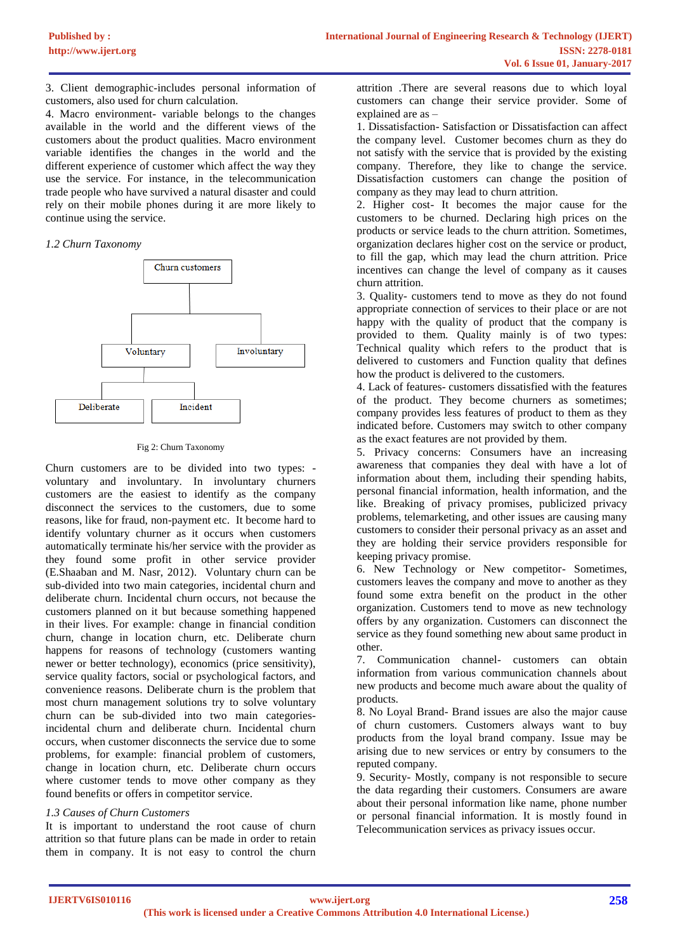3. Client demographic-includes personal information of customers, also used for churn calculation.

4. Macro environment- variable belongs to the changes available in the world and the different views of the customers about the product qualities. Macro environment variable identifies the changes in the world and the different experience of customer which affect the way they use the service. For instance, in the telecommunication trade people who have survived a natural disaster and could rely on their mobile phones during it are more likely to continue using the service.

## *1.2 Churn Taxonomy*



#### Fig 2: Churn Taxonomy

Churn customers are to be divided into two types: voluntary and involuntary. In involuntary churners customers are the easiest to identify as the company disconnect the services to the customers, due to some reasons, like for fraud, non-payment etc. It become hard to identify voluntary churner as it occurs when customers automatically terminate his/her service with the provider as they found some profit in other service provider (E.Shaaban and M. Nasr, 2012). Voluntary churn can be sub-divided into two main categories, incidental churn and deliberate churn. Incidental churn occurs, not because the customers planned on it but because something happened in their lives. For example: change in financial condition churn, change in location churn, etc. Deliberate churn happens for reasons of technology (customers wanting newer or better technology), economics (price sensitivity), service quality factors, social or psychological factors, and convenience reasons. Deliberate churn is the problem that most churn management solutions try to solve voluntary churn can be sub-divided into two main categoriesincidental churn and deliberate churn. Incidental churn occurs, when customer disconnects the service due to some problems, for example: financial problem of customers, change in location churn, etc. Deliberate churn occurs where customer tends to move other company as they found benefits or offers in competitor service.

# *1.3 Causes of Churn Customers*

It is important to understand the root cause of churn attrition so that future plans can be made in order to retain them in company. It is not easy to control the churn

attrition .There are several reasons due to which loyal customers can change their service provider. Some of explained are as –

1. Dissatisfaction- Satisfaction or Dissatisfaction can affect the company level. Customer becomes churn as they do not satisfy with the service that is provided by the existing company. Therefore, they like to change the service. Dissatisfaction customers can change the position of company as they may lead to churn attrition.

2. Higher cost- It becomes the major cause for the customers to be churned. Declaring high prices on the products or service leads to the churn attrition. Sometimes, organization declares higher cost on the service or product, to fill the gap, which may lead the churn attrition. Price incentives can change the level of company as it causes churn attrition.

3. Quality- customers tend to move as they do not found appropriate connection of services to their place or are not happy with the quality of product that the company is provided to them. Quality mainly is of two types: Technical quality which refers to the product that is delivered to customers and Function quality that defines how the product is delivered to the customers.

4. Lack of features- customers dissatisfied with the features of the product. They become churners as sometimes; company provides less features of product to them as they indicated before. Customers may switch to other company as the exact features are not provided by them.

5. Privacy concerns: Consumers have an increasing awareness that companies they deal with have a lot of information about them, including their spending habits, personal financial information, health information, and the like. Breaking of privacy promises, publicized privacy problems, telemarketing, and other issues are causing many customers to consider their personal privacy as an asset and they are holding their service providers responsible for keeping privacy promise.

6. New Technology or New competitor- Sometimes, customers leaves the company and move to another as they found some extra benefit on the product in the other organization. Customers tend to move as new technology offers by any organization. Customers can disconnect the service as they found something new about same product in other.

7. Communication channel- customers can obtain information from various communication channels about new products and become much aware about the quality of products.

8. No Loyal Brand- Brand issues are also the major cause of churn customers. Customers always want to buy products from the loyal brand company. Issue may be arising due to new services or entry by consumers to the reputed company.

9. Security- Mostly, company is not responsible to secure the data regarding their customers. Consumers are aware about their personal information like name, phone number or personal financial information. It is mostly found in Telecommunication services as privacy issues occur.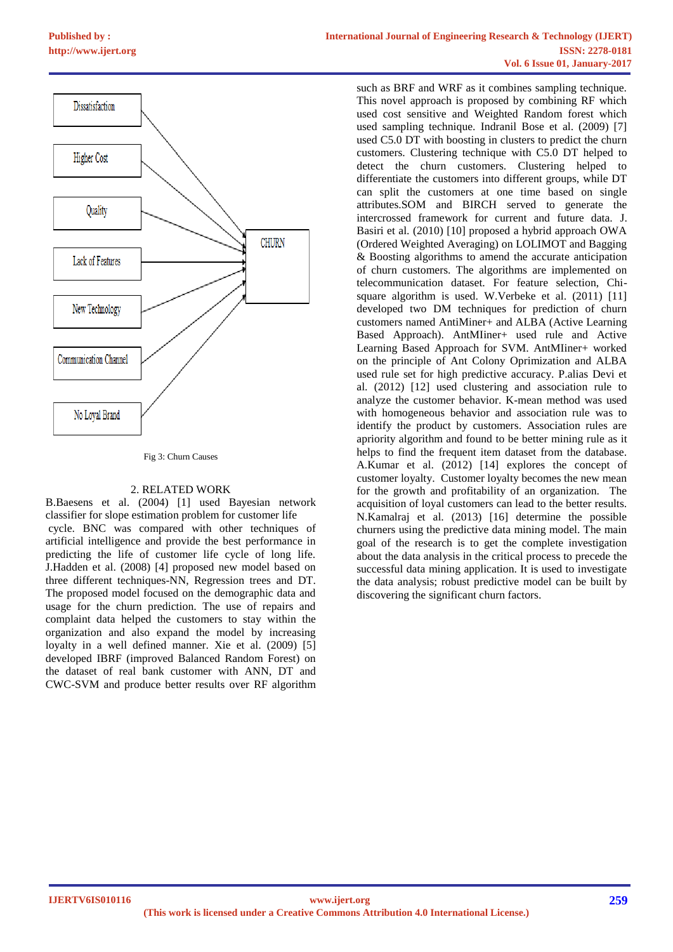

#### Fig 3: Churn Causes

### 2. RELATED WORK

B.Baesens et al. (2004) [1] used Bayesian network classifier for slope estimation problem for customer life cycle. BNC was compared with other techniques of artificial intelligence and provide the best performance in predicting the life of customer life cycle of long life. J.Hadden et al. (2008) [4] proposed new model based on three different techniques-NN, Regression trees and DT. The proposed model focused on the demographic data and usage for the churn prediction. The use of repairs and complaint data helped the customers to stay within the organization and also expand the model by increasing loyalty in a well defined manner. Xie et al. (2009) [5] developed IBRF (improved Balanced Random Forest) on the dataset of real bank customer with ANN, DT and CWC-SVM and produce better results over RF algorithm

such as BRF and WRF as it combines sampling technique. This novel approach is proposed by combining RF which used cost sensitive and Weighted Random forest which used sampling technique. Indranil Bose et al. (2009) [7] used C5.0 DT with boosting in clusters to predict the churn customers. Clustering technique with C5.0 DT helped to detect the churn customers. Clustering helped to differentiate the customers into different groups, while DT can split the customers at one time based on single attributes.SOM and BIRCH served to generate the intercrossed framework for current and future data. J. Basiri et al. (2010) [10] proposed a hybrid approach OWA (Ordered Weighted Averaging) on LOLIMOT and Bagging & Boosting algorithms to amend the accurate anticipation of churn customers. The algorithms are implemented on telecommunication dataset. For feature selection, Chisquare algorithm is used. W.Verbeke et al. (2011) [11] developed two DM techniques for prediction of churn customers named AntiMiner+ and ALBA (Active Learning Based Approach). AntMIiner+ used rule and Active Learning Based Approach for SVM. AntMIiner+ worked on the principle of Ant Colony Oprimization and ALBA used rule set for high predictive accuracy. P.alias Devi et al. (2012) [12] used clustering and association rule to analyze the customer behavior. K-mean method was used with homogeneous behavior and association rule was to identify the product by customers. Association rules are apriority algorithm and found to be better mining rule as it helps to find the frequent item dataset from the database. A.Kumar et al. (2012) [14] explores the concept of customer loyalty. Customer loyalty becomes the new mean for the growth and profitability of an organization. The acquisition of loyal customers can lead to the better results. N.Kamalraj et al. (2013) [16] determine the possible churners using the predictive data mining model. The main goal of the research is to get the complete investigation about the data analysis in the critical process to precede the successful data mining application. It is used to investigate the data analysis; robust predictive model can be built by discovering the significant churn factors.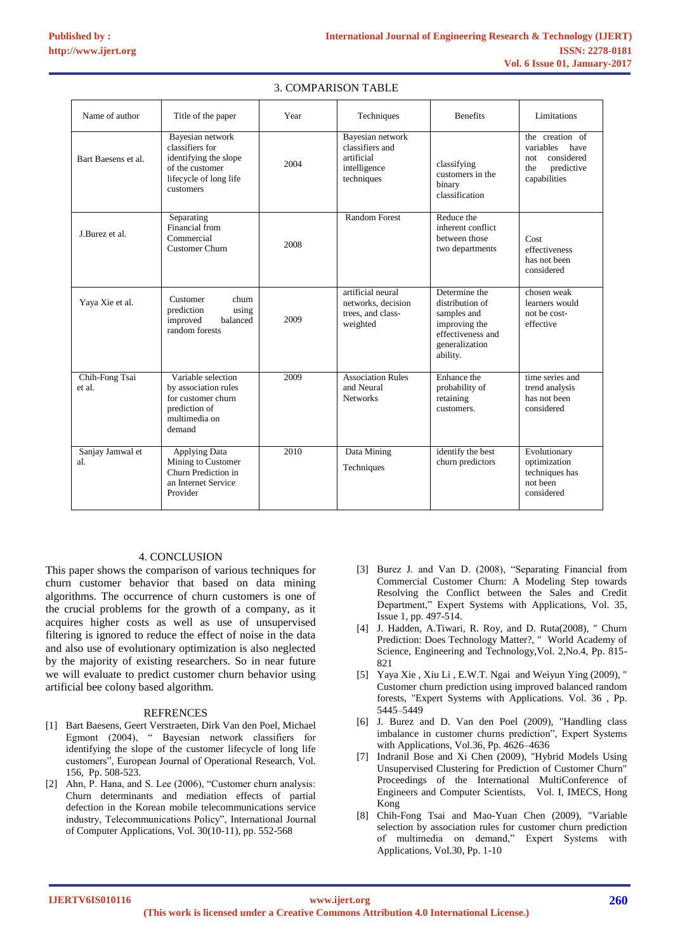| Name of author           | Title of the paper                                                                                                     | Year | Techniques                                                                      | <b>Benefits</b>                                                                                                     | Limitations                                                                                    |
|--------------------------|------------------------------------------------------------------------------------------------------------------------|------|---------------------------------------------------------------------------------|---------------------------------------------------------------------------------------------------------------------|------------------------------------------------------------------------------------------------|
| Bart Baesens et al.      | Bayesian network<br>classifiers for<br>identifying the slope<br>of the customer<br>lifecycle of long life<br>customers | 2004 | Bayesian network<br>classifiers and<br>artificial<br>intelligence<br>techniques | classifying<br>customers in the<br>binary<br>classification                                                         | the creation of<br>variables<br>have<br>considered<br>not<br>predictive<br>the<br>capabilities |
| J.Burez et al.           | Separating<br>Financial from<br>Commercial<br><b>Customer Churn</b>                                                    | 2008 | <b>Random Forest</b>                                                            | Reduce the<br>inherent conflict<br>between those<br>two departments                                                 | Cost<br>effectiveness<br>has not been<br>considered                                            |
| Yaya Xie et al.          | Customer<br>churn<br>prediction<br>using<br>improved<br>balanced<br>random forests                                     | 2009 | artificial neural<br>networks, decision<br>trees, and class-<br>weighted        | Determine the<br>distribution of<br>samples and<br>improving the<br>effectiveness and<br>generalization<br>ability. | chosen weak<br>learners would<br>not be cost-<br>effective                                     |
| Chih-Fong Tsai<br>et al. | Variable selection<br>by association rules<br>for customer churn<br>prediction of<br>multimedia on<br>demand           | 2009 | <b>Association Rules</b><br>and Neural<br><b>Networks</b>                       | Enhance the<br>probability of<br>retaining<br>customers.                                                            | time series and<br>trend analysis<br>has not been<br>considered                                |
| Sanjay Jamwal et<br>al.  | Applying Data<br>Mining to Customer<br>Churn Prediction in<br>an Internet Service<br>Provider                          | 2010 | Data Mining<br>Techniques                                                       | identify the best<br>churn predictors                                                                               | Evolutionary<br>optimization<br>techniques has<br>not been<br>considered                       |

### 3. COMPARISON TABLE

## 4. CONCLUSION

This paper shows the comparison of various techniques for churn customer behavior that based on data mining algorithms. The occurrence of churn customers is one of the crucial problems for the growth of a company, as it acquires higher costs as well as use of unsupervised filtering is ignored to reduce the effect of noise in the data and also use of evolutionary optimization is also neglected by the majority of existing researchers. So in near future we will evaluate to predict customer churn behavior using artificial bee colony based algorithm.

#### **REFRENCES**

- [1] Bart Baesens, Geert Verstraeten, Dirk Van den Poel, Michael Egmont (2004), " Bayesian network classifiers for identifying the slope of the customer lifecycle of long life customers", European Journal of Operational Research, Vol. 156, Pp. 508-523.
- [2] Ahn, P. Hana, and S. Lee (2006), "Customer churn analysis: Churn determinants and mediation effects of partial defection in the Korean mobile telecommunications service industry, Telecommunications Policy", International Journal of Computer Applications, Vol. 30(10-11), pp. 552-568
- [3] Burez J. and Van D. (2008), "Separating Financial from Commercial Customer Churn: A Modeling Step towards Resolving the Conflict between the Sales and Credit Department," Expert Systems with Applications, Vol. 35, Issue 1, pp. 497-514.
- [4] J. Hadden, A.Tiwari, R. Roy, and D. Ruta(2008), " Churn Prediction: Does Technology Matter?, " World Academy of Science, Engineering and Technology,Vol. 2,No.4, Pp. 815- 821
- [5] Yaya Xie , Xiu Li , E.W.T. Ngai and Weiyun Ying (2009), " Customer churn prediction using improved balanced random forests, "Expert Systems with Applications. Vol. 36 , Pp. 5445–5449
- [6] J. Burez and D. Van den Poel (2009), "Handling class imbalance in customer churns prediction", Expert Systems with Applications, Vol.36, Pp. 4626–4636
- [7] Indranil Bose and Xi Chen (2009), "Hybrid Models Using Unsupervised Clustering for Prediction of Customer Churn" Proceedings of the International MultiConference of Engineers and Computer Scientists, Vol. I, IMECS, Hong Kong
- [8] Chih-Fong Tsai and Mao-Yuan Chen (2009), "Variable selection by association rules for customer churn prediction of multimedia on demand," Expert Systems with Applications, Vol.30, Pp. 1-10